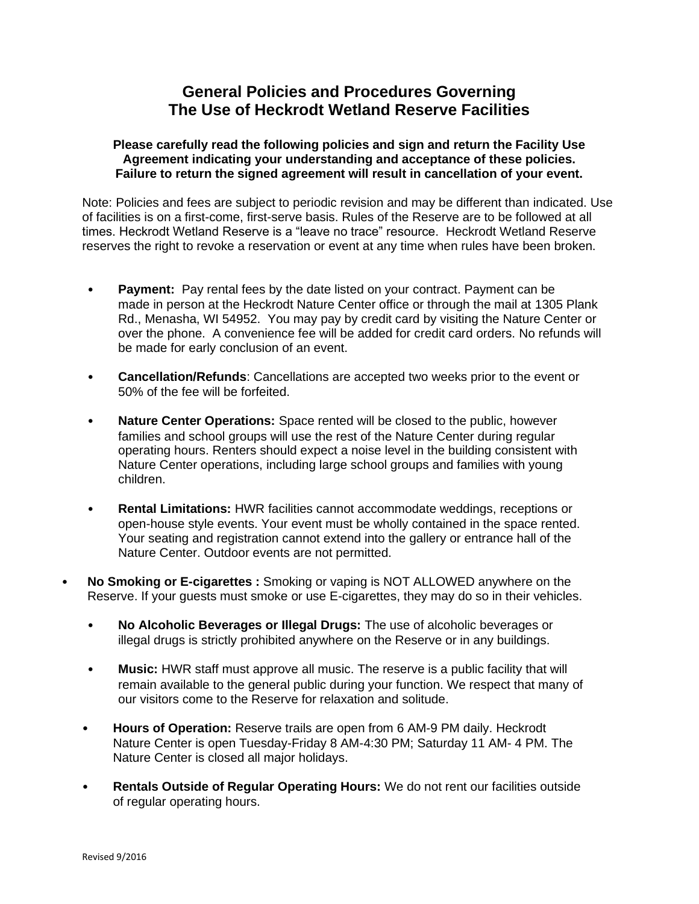## **General Policies and Procedures Governing The Use of Heckrodt Wetland Reserve Facilities**

## **Please carefully read the following policies and sign and return the Facility Use Agreement indicating your understanding and acceptance of these policies. Failure to return the signed agreement will result in cancellation of your event.**

Note: Policies and fees are subject to periodic revision and may be different than indicated. Use of facilities is on a first-come, first-serve basis. Rules of the Reserve are to be followed at all times. Heckrodt Wetland Reserve is a "leave no trace" resource. Heckrodt Wetland Reserve reserves the right to revoke a reservation or event at any time when rules have been broken.

- **Payment:** Pay rental fees by the date listed on your contract. Payment can be made in person at the Heckrodt Nature Center office or through the mail at 1305 Plank Rd., Menasha, WI 54952. You may pay by credit card by visiting the Nature Center or over the phone. A convenience fee will be added for credit card orders. No refunds will be made for early conclusion of an event.
- **Cancellation/Refunds**: Cancellations are accepted two weeks prior to the event or 50% of the fee will be forfeited.
- **Nature Center Operations:** Space rented will be closed to the public, however families and school groups will use the rest of the Nature Center during regular operating hours. Renters should expect a noise level in the building consistent with Nature Center operations, including large school groups and families with young children.
- **Rental Limitations:** HWR facilities cannot accommodate weddings, receptions or open-house style events. Your event must be wholly contained in the space rented. Your seating and registration cannot extend into the gallery or entrance hall of the Nature Center. Outdoor events are not permitted.
- **No Smoking or E-cigarettes :** Smoking or vaping is NOT ALLOWED anywhere on the Reserve. If your guests must smoke or use E-cigarettes, they may do so in their vehicles.
	- **No Alcoholic Beverages or Illegal Drugs:** The use of alcoholic beverages or illegal drugs is strictly prohibited anywhere on the Reserve or in any buildings.
	- **Music:** HWR staff must approve all music. The reserve is a public facility that will remain available to the general public during your function. We respect that many of our visitors come to the Reserve for relaxation and solitude.
	- **Hours of Operation:** Reserve trails are open from 6 AM-9 PM daily. Heckrodt Nature Center is open Tuesday-Friday 8 AM-4:30 PM; Saturday 11 AM- 4 PM. The Nature Center is closed all major holidays.
	- **Rentals Outside of Regular Operating Hours:** We do not rent our facilities outside of regular operating hours.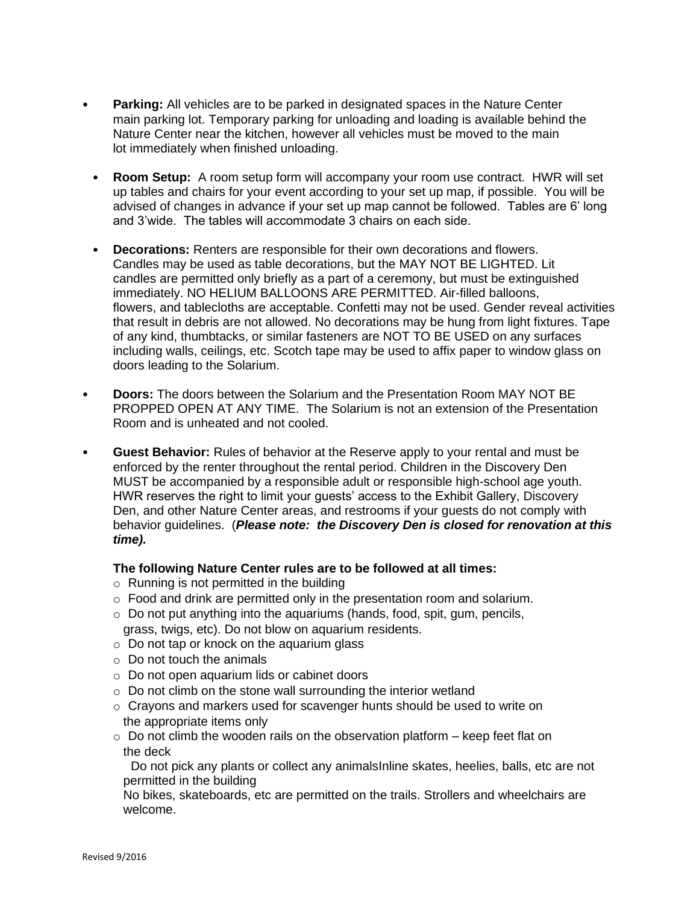- **Parking:** All vehicles are to be parked in designated spaces in the Nature Center main parking lot. Temporary parking for unloading and loading is available behind the Nature Center near the kitchen, however all vehicles must be moved to the main lot immediately when finished unloading.
	- **Room Setup:** A room setup form will accompany your room use contract. HWR will set up tables and chairs for your event according to your set up map, if possible. You will be advised of changes in advance if your set up map cannot be followed. Tables are 6' long and 3'wide. The tables will accommodate 3 chairs on each side.
	- **Decorations:** Renters are responsible for their own decorations and flowers. Candles may be used as table decorations, but the MAY NOT BE LIGHTED. Lit candles are permitted only briefly as a part of a ceremony, but must be extinguished immediately. NO HELIUM BALLOONS ARE PERMITTED. Air-filled balloons, flowers, and tablecloths are acceptable. Confetti may not be used. Gender reveal activities that result in debris are not allowed. No decorations may be hung from light fixtures. Tape of any kind, thumbtacks, or similar fasteners are NOT TO BE USED on any surfaces including walls, ceilings, etc. Scotch tape may be used to affix paper to window glass on doors leading to the Solarium.
- **Doors:** The doors between the Solarium and the Presentation Room MAY NOT BE PROPPED OPEN AT ANY TIME. The Solarium is not an extension of the Presentation Room and is unheated and not cooled.
- **Guest Behavior:** Rules of behavior at the Reserve apply to your rental and must be enforced by the renter throughout the rental period. Children in the Discovery Den MUST be accompanied by a responsible adult or responsible high-school age youth. HWR reserves the right to limit your guests' access to the Exhibit Gallery, Discovery Den, and other Nature Center areas, and restrooms if your guests do not comply with behavior guidelines. (*Please note: the Discovery Den is closed for renovation at this time).*

## **The following Nature Center rules are to be followed at all times:**

- o Running is not permitted in the building
- o Food and drink are permitted only in the presentation room and solarium.
- o Do not put anything into the aquariums (hands, food, spit, gum, pencils, grass, twigs, etc). Do not blow on aquarium residents.
- o Do not tap or knock on the aquarium glass
- $\circ$  Do not touch the animals
- o Do not open aquarium lids or cabinet doors
- $\circ$  Do not climb on the stone wall surrounding the interior wetland
- $\circ$  Crayons and markers used for scavenger hunts should be used to write on the appropriate items only
- $\circ$  Do not climb the wooden rails on the observation platform keep feet flat on the deck

Do not pick any plants or collect any animalsInline skates, heelies, balls, etc are not permitted in the building

No bikes, skateboards, etc are permitted on the trails. Strollers and wheelchairs are welcome.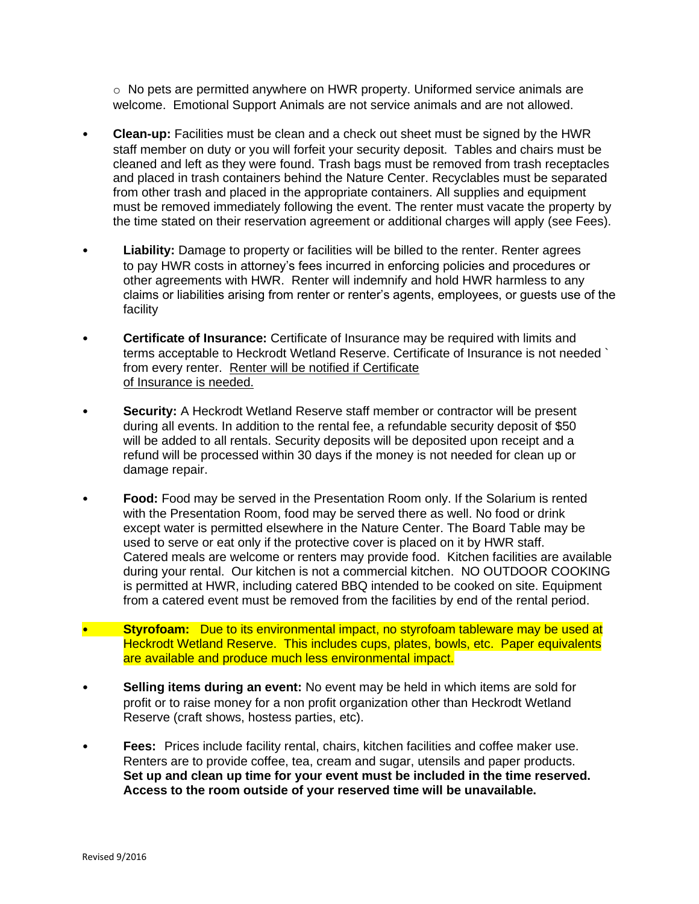$\circ$  No pets are permitted anywhere on HWR property. Uniformed service animals are welcome. Emotional Support Animals are not service animals and are not allowed.

- **Clean-up:** Facilities must be clean and a check out sheet must be signed by the HWR staff member on duty or you will forfeit your security deposit. Tables and chairs must be cleaned and left as they were found. Trash bags must be removed from trash receptacles and placed in trash containers behind the Nature Center. Recyclables must be separated from other trash and placed in the appropriate containers. All supplies and equipment must be removed immediately following the event. The renter must vacate the property by the time stated on their reservation agreement or additional charges will apply (see Fees).
- **Liability:** Damage to property or facilities will be billed to the renter. Renter agrees to pay HWR costs in attorney's fees incurred in enforcing policies and procedures or other agreements with HWR. Renter will indemnify and hold HWR harmless to any claims or liabilities arising from renter or renter's agents, employees, or guests use of the facility
- **Certificate of Insurance:** Certificate of Insurance may be required with limits and terms acceptable to Heckrodt Wetland Reserve. Certificate of Insurance is not needed ` from every renter. Renter will be notified if Certificate of Insurance is needed.
- **Security:** A Heckrodt Wetland Reserve staff member or contractor will be present during all events. In addition to the rental fee, a refundable security deposit of \$50 will be added to all rentals. Security deposits will be deposited upon receipt and a refund will be processed within 30 days if the money is not needed for clean up or damage repair.
- **Food:** Food may be served in the Presentation Room only. If the Solarium is rented with the Presentation Room, food may be served there as well. No food or drink except water is permitted elsewhere in the Nature Center. The Board Table may be used to serve or eat only if the protective cover is placed on it by HWR staff. Catered meals are welcome or renters may provide food. Kitchen facilities are available during your rental. Our kitchen is not a commercial kitchen. NO OUTDOOR COOKING is permitted at HWR, including catered BBQ intended to be cooked on site. Equipment from a catered event must be removed from the facilities by end of the rental period.
- **Styrofoam:** Due to its environmental impact, no styrofoam tableware may be used at Heckrodt Wetland Reserve. This includes cups, plates, bowls, etc. Paper equivalents are available and produce much less environmental impact.
- **Selling items during an event:** No event may be held in which items are sold for profit or to raise money for a non profit organization other than Heckrodt Wetland Reserve (craft shows, hostess parties, etc).
- Fees: Prices include facility rental, chairs, kitchen facilities and coffee maker use. Renters are to provide coffee, tea, cream and sugar, utensils and paper products. **Set up and clean up time for your event must be included in the time reserved. Access to the room outside of your reserved time will be unavailable.**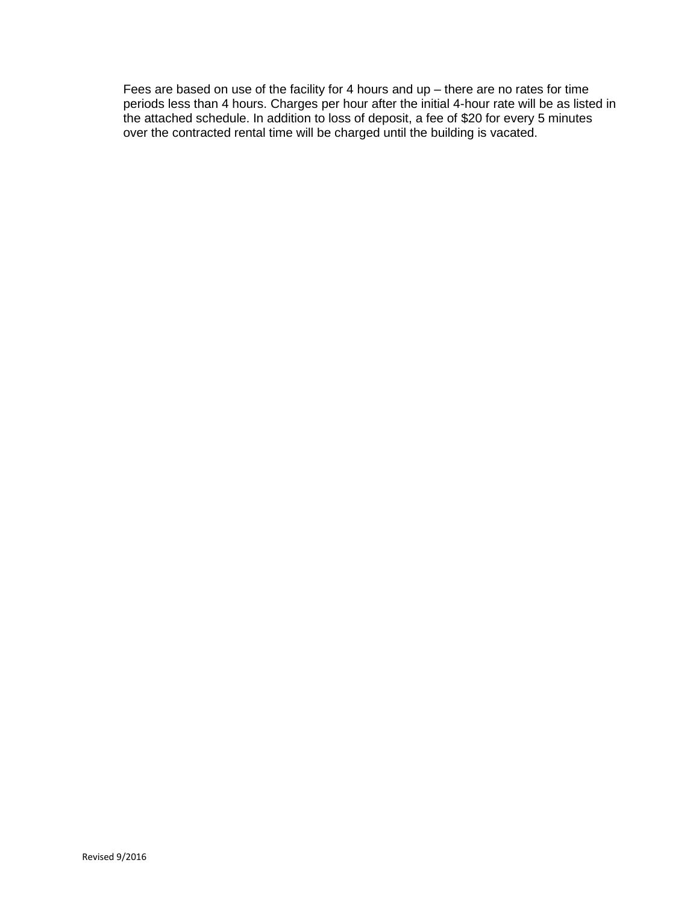Fees are based on use of the facility for 4 hours and up – there are no rates for time periods less than 4 hours. Charges per hour after the initial 4-hour rate will be as listed in the attached schedule. In addition to loss of deposit, a fee of \$20 for every 5 minutes over the contracted rental time will be charged until the building is vacated.